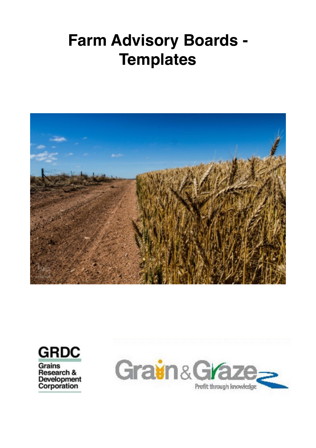# **Farm Advisory Boards - Templates**



**GRDC** 

**Grains** Research & Development<br>Corporation

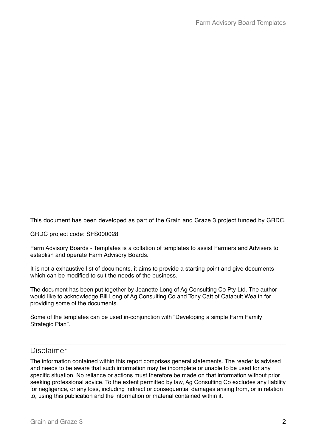This document has been developed as part of the Grain and Graze 3 project funded by GRDC.

GRDC project code: SFS000028

Farm Advisory Boards - Templates is a collation of templates to assist Farmers and Advisers to establish and operate Farm Advisory Boards.

It is not a exhaustive list of documents, it aims to provide a starting point and give documents which can be modified to suit the needs of the business.

The document has been put together by Jeanette Long of Ag Consulting Co Pty Ltd. The author would like to acknowledge Bill Long of Ag Consulting Co and Tony Catt of Catapult Wealth for providing some of the documents.

Some of the templates can be used in-conjunction with "Developing a simple Farm Family Strategic Plan".

#### Disclaimer

The information contained within this report comprises general statements. The reader is advised and needs to be aware that such information may be incomplete or unable to be used for any specific situation. No reliance or actions must therefore be made on that information without prior seeking professional advice. To the extent permitted by law, Ag Consulting Co excludes any liability for negligence, or any loss, including indirect or consequential damages arising from, or in relation to, using this publication and the information or material contained within it.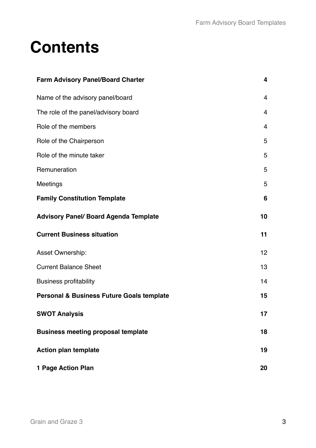# **Contents**

| <b>Farm Advisory Panel/Board Charter</b>             | 4              |
|------------------------------------------------------|----------------|
| Name of the advisory panel/board                     | $\overline{4}$ |
| The role of the panel/advisory board                 | $\overline{4}$ |
| Role of the members                                  | $\overline{4}$ |
| Role of the Chairperson                              | 5              |
| Role of the minute taker                             | 5              |
| Remuneration                                         | 5              |
| Meetings                                             | 5              |
| <b>Family Constitution Template</b>                  | 6              |
| <b>Advisory Panel/ Board Agenda Template</b>         | 10             |
| <b>Current Business situation</b>                    | 11             |
| Asset Ownership:                                     | 12             |
| <b>Current Balance Sheet</b>                         | 13             |
| <b>Business profitability</b>                        | 14             |
| <b>Personal &amp; Business Future Goals template</b> | 15             |
| <b>SWOT Analysis</b>                                 | 17             |
| <b>Business meeting proposal template</b>            | 18             |
| <b>Action plan template</b>                          | 19             |
| 1 Page Action Plan                                   | 20             |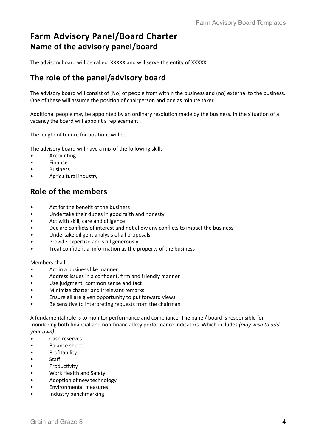### **Farm Advisory Panel/Board Charter Name of the advisory panel/board**

The advisory board will be called XXXXX and will serve the entity of XXXXX

#### The role of the panel/advisory board

The advisory board will consist of (No) of people from within the business and (no) external to the business. One of these will assume the position of chairperson and one as minute taker.

Additional people may be appointed by an ordinary resolution made by the business. In the situation of a vacancy the board will appoint a replacement.

The length of tenure for positions will be...

The advisory board will have a mix of the following skills

- Accounting
- • Finance
- **Business**
- Agricultural industry

#### **Role of the members**

- Act for the benefit of the business
- Undertake their duties in good faith and honesty
- Act with skill, care and diligence
- Declare conflicts of interest and not allow any conflicts to impact the business
- Undertake diligent analysis of all proposals
- Provide expertise and skill generously
- Treat confidential information as the property of the business

Members shall

- Act in a business like manner
- Address issues in a confident, firm and friendly manner
- Use judgment, common sense and tact
- Minimize chatter and irrelevant remarks
- Ensure all are given opportunity to put forward views
- Be sensitive to interpreting requests from the chairman

A fundamental role is to monitor performance and compliance. The panel/ board is responsible for monitoring both financial and non-financial key performance indicators. Which includes *(may wish to add your own)* 

- Cash reserves
- Balance sheet
- **Profitability**
- Staff
- Productivity
- Work Health and Safety
- Adoption of new technology
- **Environmental measures**
- Industry benchmarking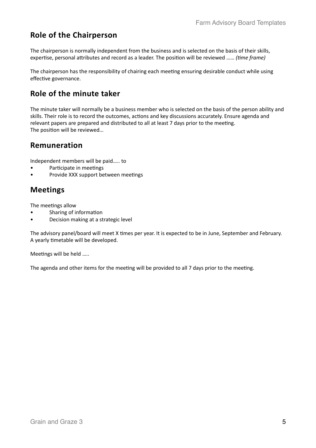#### **Role of the Chairperson**

The chairperson is normally independent from the business and is selected on the basis of their skills, expertise, personal attributes and record as a leader. The position will be reviewed ...... (time frame)

The chairperson has the responsibility of chairing each meeting ensuring desirable conduct while using effective governance.

#### **Role of the minute taker**

The minute taker will normally be a business member who is selected on the basis of the person ability and skills. Their role is to record the outcomes, actions and key discussions accurately. Ensure agenda and relevant papers are prepared and distributed to all at least 7 days prior to the meeting. The position will be reviewed...

#### **Remuneration**

Independent members will be paid..... to

- Participate in meetings
- Provide XXX support between meetings

#### **Meetings**

The meetings allow

- Sharing of information
- Decision making at a strategic level

The advisory panel/board will meet X times per year. It is expected to be in June, September and February. A yearly timetable will be developed.

Meetings will be held .....

The agenda and other items for the meeting will be provided to all 7 days prior to the meeting.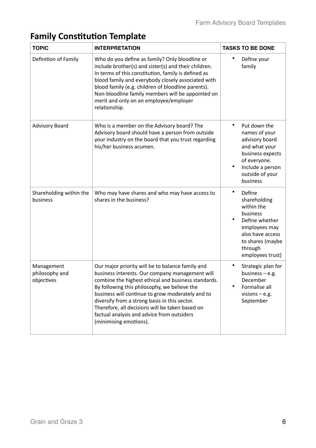| <b>TOPIC</b>                               | <b>INTERPRETATION</b>                                                                                                                                                                                                                                                                                                                                                                                                                      | <b>TASKS TO BE DONE</b>                                                                                                                                                      |
|--------------------------------------------|--------------------------------------------------------------------------------------------------------------------------------------------------------------------------------------------------------------------------------------------------------------------------------------------------------------------------------------------------------------------------------------------------------------------------------------------|------------------------------------------------------------------------------------------------------------------------------------------------------------------------------|
| Definition of Family                       | Who do you define as family? Only bloodline or<br>include brother(s) and sister(s) and their children.<br>In terms of this constitution, family is defined as<br>blood family and everybody closely associated with<br>blood family (e.g. children of bloodline parents).<br>Non-bloodline family members will be appointed on<br>merit and only on an employee/employer<br>relationship.                                                  | ٠<br>Define your<br>family                                                                                                                                                   |
| <b>Advisory Board</b>                      | Who is a member on the Advisory board? The<br>Advisory board should have a person from outside<br>your industry on the board that you trust regarding<br>his/her business acumen.                                                                                                                                                                                                                                                          | Put down the<br>names of your<br>advisory board<br>and what your<br>business expects<br>of everyone.<br>Include a person<br>outside of your<br>business                      |
| Shareholding within the<br>business        | Who may have shares and who may have access to<br>shares in the business?                                                                                                                                                                                                                                                                                                                                                                  | ٠<br>Define<br>shareholding<br>within the<br>business<br>$\bullet$<br>Define whether<br>employees may<br>also have access<br>to shares (maybe<br>through<br>employees trust) |
| Management<br>philosophy and<br>objectives | Our major priority will be to balance family and<br>business interests. Our company management will<br>combine the highest ethical and business standards.<br>By following this philosophy, we believe the<br>business will continue to grow moderately and to<br>diversify from a strong basis in this sector.<br>Therefore, all decisions will be taken based on<br>factual analysis and advice from outsiders<br>(minimising emotions). | Strategic plan for<br>business $-$ e.g.<br>December<br>Formalise all<br>٠<br>visions $-$ e.g.<br>September                                                                   |

## **Family Constitution Template**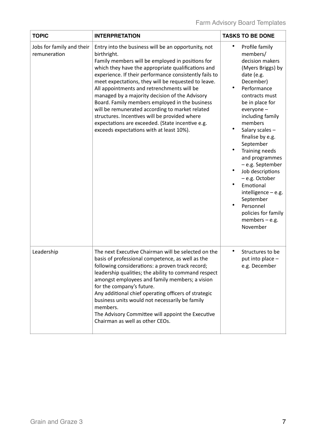| <b>TOPIC</b>                              | <b>INTERPRETATION</b>                                                                                                                                                                                                                                                                                                                                                                                                                                                                                                                                                                                                                               | <b>TASKS TO BE DONE</b>                                                                                                                                                                                                                                                                                                                                                                                                                                                                                                    |
|-------------------------------------------|-----------------------------------------------------------------------------------------------------------------------------------------------------------------------------------------------------------------------------------------------------------------------------------------------------------------------------------------------------------------------------------------------------------------------------------------------------------------------------------------------------------------------------------------------------------------------------------------------------------------------------------------------------|----------------------------------------------------------------------------------------------------------------------------------------------------------------------------------------------------------------------------------------------------------------------------------------------------------------------------------------------------------------------------------------------------------------------------------------------------------------------------------------------------------------------------|
| Jobs for family and their<br>remuneration | Entry into the business will be an opportunity, not<br>birthright.<br>Family members will be employed in positions for<br>which they have the appropriate qualifications and<br>experience. If their performance consistently fails to<br>meet expectations, they will be requested to leave.<br>All appointments and retrenchments will be<br>managed by a majority decision of the Advisory<br>Board. Family members employed in the business<br>will be remunerated according to market related<br>structures. Incentives will be provided where<br>expectations are exceeded. (State incentive e.g.<br>exceeds expectations with at least 10%). | $\bullet$<br>Profile family<br>members/<br>decision makers<br>(Myers Briggs) by<br>date (e.g.<br>December)<br>$\bullet$<br>Performance<br>contracts must<br>be in place for<br>everyone -<br>including family<br>members<br>$\bullet$<br>Salary scales-<br>finalise by e.g.<br>September<br>$\bullet$<br>Training needs<br>and programmes<br>- e.g. September<br>Job descriptions<br>- e.g. October<br>Emotional<br>intelligence $-$ e.g.<br>September<br>Personnel<br>policies for family<br>members $-$ e.g.<br>November |
| Leadership                                | The next Executive Chairman will be selected on the<br>basis of professional competence, as well as the<br>following considerations: a proven track record;<br>leadership qualities; the ability to command respect<br>amongst employees and family members; a vision<br>for the company's future.<br>Any additional chief operating officers of strategic<br>business units would not necessarily be family<br>members.<br>The Advisory Committee will appoint the Executive<br>Chairman as well as other CEOs.                                                                                                                                    | $\bullet$<br>Structures to be<br>put into place -<br>e.g. December                                                                                                                                                                                                                                                                                                                                                                                                                                                         |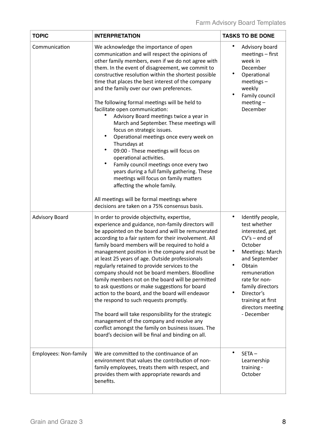| <b>TOPIC</b>          | <b>INTERPRETATION</b>                                                                                                                                                                                                                                                                                                                                                                                                                                                                                                                                                                                                                                                                                                                                                                                                                                                                                                                                                         | <b>TASKS TO BE DONE</b>                                                                                                                                                                                                                                                           |
|-----------------------|-------------------------------------------------------------------------------------------------------------------------------------------------------------------------------------------------------------------------------------------------------------------------------------------------------------------------------------------------------------------------------------------------------------------------------------------------------------------------------------------------------------------------------------------------------------------------------------------------------------------------------------------------------------------------------------------------------------------------------------------------------------------------------------------------------------------------------------------------------------------------------------------------------------------------------------------------------------------------------|-----------------------------------------------------------------------------------------------------------------------------------------------------------------------------------------------------------------------------------------------------------------------------------|
| Communication         | We acknowledge the importance of open<br>communication and will respect the opinions of<br>other family members, even if we do not agree with<br>them. In the event of disagreement, we commit to<br>constructive resolution within the shortest possible<br>time that places the best interest of the company<br>and the family over our own preferences.<br>The following formal meetings will be held to<br>facilitate open communication:<br>Advisory Board meetings twice a year in<br>March and September. These meetings will<br>focus on strategic issues.<br>Operational meetings once every week on<br>Thursdays at<br>09:00 - These meetings will focus on<br>operational activities.<br>$\bullet$<br>Family council meetings once every two<br>years during a full family gathering. These<br>meetings will focus on family matters<br>affecting the whole family.<br>All meetings will be formal meetings where<br>decisions are taken on a 75% consensus basis. | ٠<br>Advisory board<br>meetings - first<br>week in<br>December<br>٠<br>Operational<br>$meetings -$<br>weekly<br>$\bullet$<br>Family council<br>$meeting-$<br>December                                                                                                             |
| <b>Advisory Board</b> | In order to provide objectivity, expertise,<br>experience and guidance, non-family directors will<br>be appointed on the board and will be remunerated<br>according to a fair system for their involvement. All<br>family board members will be required to hold a<br>management position in the company and must be<br>at least 25 years of age. Outside professionals<br>regularly retained to provide services to the<br>company should not be board members. Bloodline<br>family members not on the board will be permitted<br>to ask questions or make suggestions for board<br>action to the board, and the board will endeavor<br>the respond to such requests promptly.<br>The board will take responsibility for the strategic<br>management of the company and resolve any<br>conflict amongst the family on business issues. The<br>board's decision will be final and binding on all.                                                                             | $\bullet$<br>Identify people,<br>test whether<br>interested, get<br>$CV's - end of$<br>October<br>٠<br>Meetings: March<br>and September<br>Obtain<br>remuneration<br>rate for non-<br>family directors<br>Director's<br>٠<br>training at first<br>directors meeting<br>- December |
| Employees: Non-family | We are committed to the continuance of an<br>environment that values the contribution of non-<br>family employees, treats them with respect, and<br>provides them with appropriate rewards and<br>benefits.                                                                                                                                                                                                                                                                                                                                                                                                                                                                                                                                                                                                                                                                                                                                                                   | $SETA -$<br>Learnership<br>training -<br>October                                                                                                                                                                                                                                  |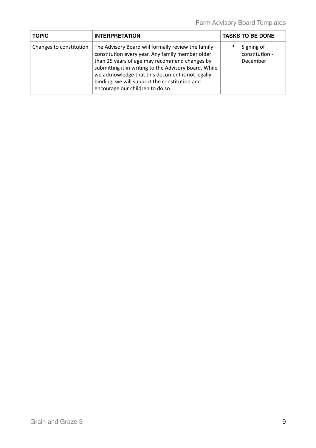| <b>TOPIC</b>            | <b>INTERPRETATION</b>                                                                                                                                                                                                                                                                                                                                     | <b>TASKS TO BE DONE</b>                  |
|-------------------------|-----------------------------------------------------------------------------------------------------------------------------------------------------------------------------------------------------------------------------------------------------------------------------------------------------------------------------------------------------------|------------------------------------------|
| Changes to constitution | The Advisory Board will formally review the family<br>constitution every year. Any family member older<br>than 25 years of age may recommend changes by<br>submitting it in writing to the Advisory Board. While<br>we acknowledge that this document is not legally<br>binding, we will support the constitution and<br>encourage our children to do so. | Signing of<br>constitution -<br>December |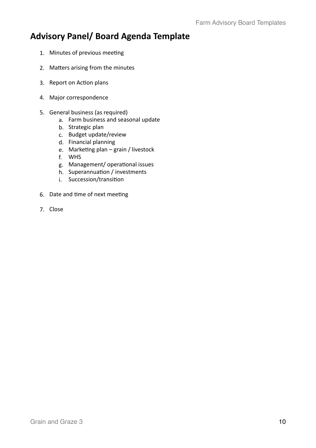### **Advisory Panel/ Board Agenda Template**

- 1. Minutes of previous meeting
- 2. Matters arising from the minutes
- 3. Report on Action plans
- 4. Major correspondence
- 5. General business (as required)
	- a. Farm business and seasonal update
	- b. Strategic plan
	- c. Budget update/review
	- d. Financial planning
	- e. Marketing plan  $-$  grain / livestock
	- f. WHS
	- g. Management/ operational issues
	- h. Superannuation / investments
	- i. Succession/transition
- 6. Date and time of next meeting
- 7. Close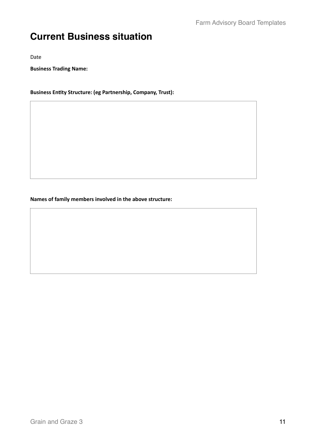## **Current Business situation**

Date 

**Business Trading Name:** 

**Business Entity Structure: (eg Partnership, Company, Trust):** 

Names of family members involved in the above structure: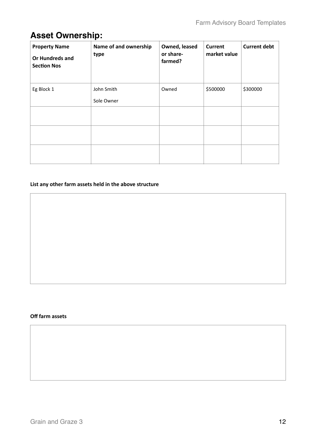### **Asset Ownership:**

| <b>Property Name</b><br><b>Or Hundreds and</b><br><b>Section Nos</b> | Name of and ownership<br>type | Owned, leased<br>or share-<br>farmed? | <b>Current</b><br>market value | <b>Current debt</b> |
|----------------------------------------------------------------------|-------------------------------|---------------------------------------|--------------------------------|---------------------|
| Eg Block 1                                                           | John Smith<br>Sole Owner      | Owned                                 | \$500000                       | \$300000            |
|                                                                      |                               |                                       |                                |                     |
|                                                                      |                               |                                       |                                |                     |
|                                                                      |                               |                                       |                                |                     |

#### List any other farm assets held in the above structure

#### **Off farm assets**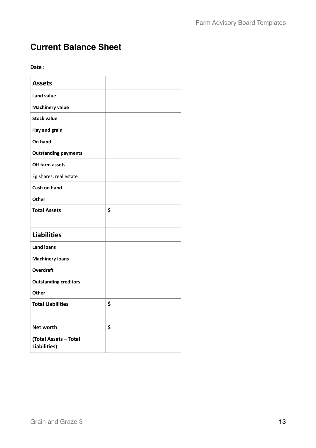### **Current Balance Sheet**

Date:

| <b>Assets</b>                         |    |
|---------------------------------------|----|
| <b>Land value</b>                     |    |
| <b>Machinery value</b>                |    |
| <b>Stock value</b>                    |    |
| Hay and grain                         |    |
| On hand                               |    |
| <b>Outstanding payments</b>           |    |
| Off farm assets                       |    |
| Eg shares, real estate                |    |
| Cash on hand                          |    |
| Other                                 |    |
| <b>Total Assets</b>                   | \$ |
|                                       |    |
| <b>Liabilities</b>                    |    |
| <b>Land loans</b>                     |    |
| <b>Machinery loans</b>                |    |
| <b>Overdraft</b>                      |    |
| <b>Outstanding creditors</b>          |    |
| <b>Other</b>                          |    |
| <b>Total Liabilities</b>              | \$ |
|                                       |    |
| <b>Net worth</b>                      | \$ |
| (Total Assets - Total<br>Liabilities) |    |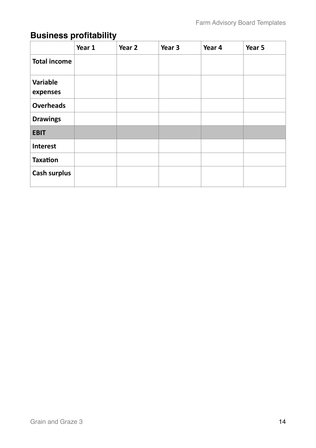## **Business profitability**

|                      | Year 1 | Year 2 | Year 3 | Year 4 | Year 5 |
|----------------------|--------|--------|--------|--------|--------|
| <b>Total income</b>  |        |        |        |        |        |
| Variable<br>expenses |        |        |        |        |        |
| <b>Overheads</b>     |        |        |        |        |        |
| <b>Drawings</b>      |        |        |        |        |        |
| <b>EBIT</b>          |        |        |        |        |        |
| <b>Interest</b>      |        |        |        |        |        |
| <b>Taxation</b>      |        |        |        |        |        |
| <b>Cash surplus</b>  |        |        |        |        |        |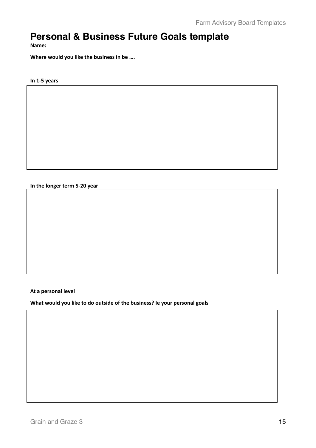### **Personal & Business Future Goals template**

**Name:** 

Where would you like the business in be ....

#### **In 1-5 years**

**In the longer term 5-20 year** 

**At a personal level** 

What would you like to do outside of the business? Ie your personal goals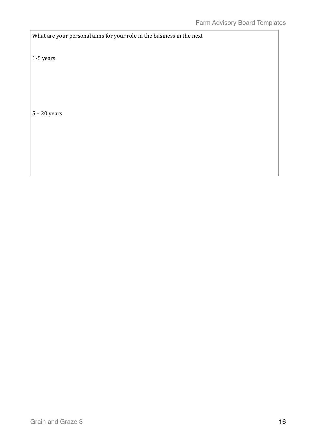What are your personal aims for your role in the business in the next

1-5 years

 $5 - 20$  years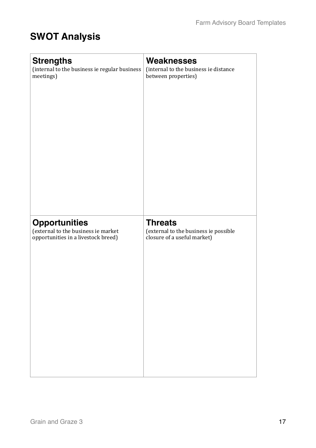# **SWOT Analysis**

| <b>Strengths</b>                              | <b>Weaknesses</b>                     |
|-----------------------------------------------|---------------------------------------|
| (internal to the business ie regular business | (internal to the business ie distance |
| meetings)                                     | between properties)                   |
| <b>Opportunities</b>                          | <b>Threats</b>                        |
| (external to the business ie market           | (external to the business ie possible |
| opportunities in a livestock breed)           | closure of a useful market)           |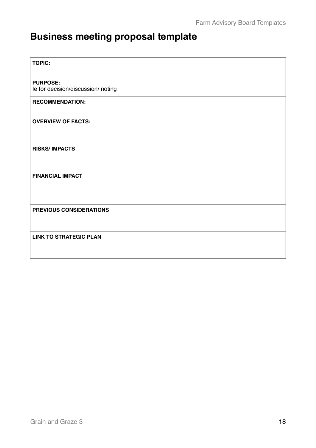# **Business meeting proposal template**

| <b>TOPIC:</b>                                         |
|-------------------------------------------------------|
| <b>PURPOSE:</b><br>le for decision/discussion/ noting |
| <b>RECOMMENDATION:</b>                                |
| <b>OVERVIEW OF FACTS:</b>                             |
| <b>RISKS/IMPACTS</b>                                  |
| <b>FINANCIAL IMPACT</b>                               |
| PREVIOUS CONSIDERATIONS                               |
| <b>LINK TO STRATEGIC PLAN</b>                         |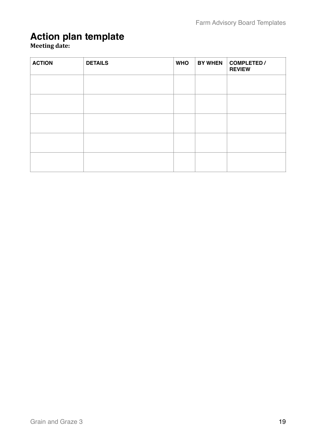### **Action plan template**

#### **Meeting date:**

| <b>ACTION</b> | <b>DETAILS</b> | <b>WHO</b> | <b>BY WHEN</b> | <b>COMPLETED /</b><br><b>REVIEW</b> |
|---------------|----------------|------------|----------------|-------------------------------------|
|               |                |            |                |                                     |
|               |                |            |                |                                     |
|               |                |            |                |                                     |
|               |                |            |                |                                     |
|               |                |            |                |                                     |
|               |                |            |                |                                     |